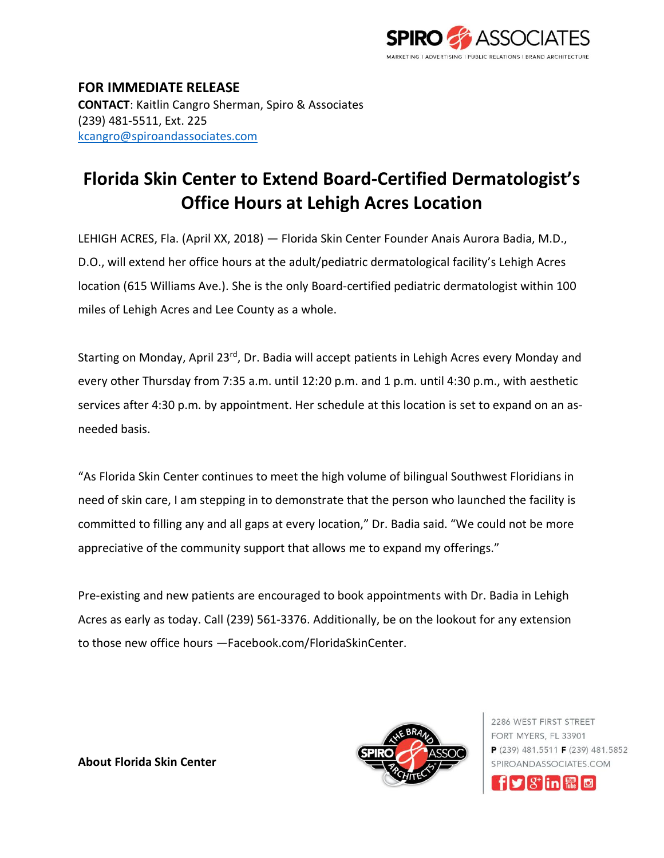

**FOR IMMEDIATE RELEASE CONTACT**: Kaitlin Cangro Sherman, Spiro & Associates (239) 481-5511, Ext. 225 [kcangro@spiroandassociates.com](mailto:kcangro@spiroandassociates.com)

## **Florida Skin Center to Extend Board-Certified Dermatologist's Office Hours at Lehigh Acres Location**

LEHIGH ACRES, Fla. (April XX, 2018) — Florida Skin Center Founder Anais Aurora Badia, M.D., D.O., will extend her office hours at the adult/pediatric dermatological facility's Lehigh Acres location (615 Williams Ave.). She is the only Board-certified pediatric dermatologist within 100 miles of Lehigh Acres and Lee County as a whole.

Starting on Monday, April 23rd, Dr. Badia will accept patients in Lehigh Acres every Monday and every other Thursday from 7:35 a.m. until 12:20 p.m. and 1 p.m. until 4:30 p.m., with aesthetic services after 4:30 p.m. by appointment. Her schedule at this location is set to expand on an asneeded basis.

"As Florida Skin Center continues to meet the high volume of bilingual Southwest Floridians in need of skin care, I am stepping in to demonstrate that the person who launched the facility is committed to filling any and all gaps at every location," Dr. Badia said. "We could not be more appreciative of the community support that allows me to expand my offerings."

Pre-existing and new patients are encouraged to book appointments with Dr. Badia in Lehigh Acres as early as today. Call (239) 561-3376. Additionally, be on the lookout for any extension to those new office hours —Facebook.com/FloridaSkinCenter.



2286 WEST FIRST STREET FORT MYERS, FL 33901  $P(239)$  481.5511 **F** (239) 481.5852 SPIROANDASSOCIATES.COM



**About Florida Skin Center**